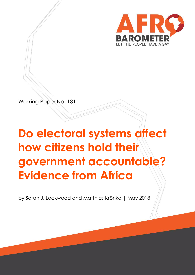

Working Paper No. 181

# **Do electoral systems affect how citizens hold their government accountable? Evidence from Africa**

by Sarah J. Lockwood and Matthias Krönke | May 2018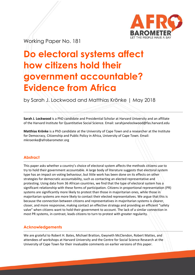

Working Paper No. 181

## **Do electoral systems affect how citizens hold their government accountable? Evidence from Africa**

by Sarah J. Lockwood and Matthias Krönke | May 2018

**Sarah J. Lockwood** is a PhD candidate and Presidential Scholar at Harvard University and an affiliate of the Harvard Institute for Quantitative Social Science. Email: sarahjanelockwood@fas.harvard.edu

**Matthias Krönke** is a PhD candidate at the University of Cape Town and a researcher at the Institute for Democracy, Citizenship and Public Policy in Africa, University of Cape Town. Email: [mkroenke@afrobarometer.org](mailto:mkroenke@afrobarometer.org)

#### **Abstract**

This paper asks whether a country's choice of electoral system affects the methods citizens use to try to hold their government accountable. A large body of literature suggests that electoral system type has an impact on voting behaviour, but little work has been done on its effects on other strategies for democratic accountability, such as contacting an elected representative and protesting. Using data from 36 African countries, we find that the type of electoral system has a significant relationship with these forms of participation. Citizens in proportional representation (PR) systems are significantly more likely to protest than those in majoritarian ones, while those in majoritarian systems are more likely to contact their elected representatives. We argue that this is because the connection between citizens and representatives in majoritarian systems is clearer, closer, and more responsive, making contact an effective strategy and providing an efficient "safety valve" when citizens want to hold their government to account. The lack of a similar connection in most PR systems, in contrast, leads citizens to turn to protest with greater regularity.

#### **Acknowledgements**

We are grateful to Robert H. Bates, Michael Bratton, Gwyneth McClendon, Robert Mattes, and attendees of workshops at Harvard University and the Centre for Social Science Research at the University of Cape Town for their invaluable comments on earlier versions of this paper.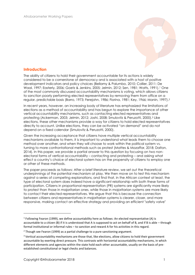

#### **Introduction**

The ability of citizens to hold their government accountable for its actions is widely considered to be a cornerstone of democracy and is associated with a host of positive development indicators and policy choices (Bellamy & Palumbo, 2010; Collier, 2011; De Waal, 1997; Easterly, 2006; Goetz & Jenkins, 2005; Jelmin, 2012; Sen, 1981; Watts, 1991). <sup>1</sup> One of the most commonly discussed accountability mechanisms is voting, which allows citizens to sanction poorly performing elected representatives by removing them from office on a regular, predictable basis (Barro, 1973; Ferejohn, 1986; Fiorina, 1981; Key, 1966; Manin, 1997). 2

In recent years, however, an increasing body of literature has emphasized the limitations of elections as a method of accountability and has begun to explore the importance of other vertical accountability mechanisms, such as contacting elected representatives and protesting (Ackerman, 2003; Jelmin, 2012; Joshi, 2008; Smulovitz & Peruzotti, 2000). <sup>3</sup> Like elections, these other mechanisms provide a way for citizens to hold elected representatives directly to account. Unlike elections, they can be activated "on demand" and do not depend on a fixed calendar (Smulovitz & Peruzotti, 2000).

Given the increasing acceptance that citizens have multiple vertical accountability mechanisms available to them, it is important to understand what leads them to choose one method over another, and when they will choose to work within the political system vs. turning to more confrontational methods such as protest (Mattes & Mozaffar, 2018; Dalton, 2014). In this paper, we provide a partial answer to this question by focusing on two nonelectoral forms of vertical accountability – contacting and protesting – and asking what effect a country's choice of electoral system has on the propensity of citizens to employ one or other of these methods.

The paper proceeds as follows: After a brief literature review, we set out the theoretical underpinnings of the potential mechanism at play. We then move on to test this mechanism against a series of competing explanations, and find that, in the African context at least, the type of electoral system does indeed have a significant relationship with both these forms of participation. Citizens in proportional representation (PR) systems are significantly more likely to protest than those in majoritarian ones, while those in majoritarian systems are more likely to contact their elected representatives. We argue that this is because the connection between citizens and representatives in majoritarian systems is clearer, closer, and more responsive, making contact an effective strategy and providing an efficient "safety valve"

 $^1$  Following Fearon (1999), we define accountability here as follows: An elected representative (A) is accountable to a citizen (B) if it is understood that A is supposed to act on behalf of B, and if B is able – through formal institutional or informal rules – to sanction and reward A for his activities in this regard.

 $2$  Though see Fearon (1999) as a partial challenge to a pure sanctioning argument.

 $3$  Vertical accountability mechanisms are those that, like elections, allow citizens to hold their government accountable by exerting direct pressure. This contrasts with horizontal accountability mechanisms, in which different elements and agencies within the state hold each other accountable, usually on the basis of preestablished constitutional or legal checks and balances.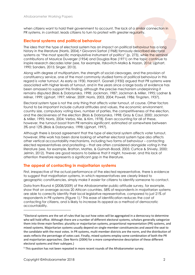when citizens want to hold their government to account. The lack of a similar connection in PR systems, in contrast, leads citizens to turn to protest with greater regularity.

#### **Electoral systems and political behaviour**

The idea that the type of electoral system has an impact on political behaviour has a long history in the literature (Norris, 2004).<sup>4</sup> Giovanni Sartori (1968) famously des<mark>cribed ele</mark>ctoral systems as "the most specific manipulative instrument of politics" (p. 273), while the seminal contributions of Maurice Duverger (1954) and Douglas Rae (1971) on the topic continue to inspire research decades later (see, for example, Itzkovitch-Malka & Hazan, 2016; Lijphart, 1990; Sanders, 2015; Singer, 2013).

Along with degree of multipartyism, the strength of social cleavages, and the provision of constituency service, one of the most commonly studied forms of political behaviour in this regard is voter turnout. As early as 1930, Harold F. Gosnell (1930) argued that PR systems were associated with higher levels of turnout, and in the years since a large body of evidence has been amassed to support this finding, although the precise mechanism underpinning it remains disputed (Blais & Dobrzynska, 1998; Jackman, 1987; Jackman & Miller, 1995; Ladner & Milner, 1999; Lijphart, 1997; Milner, 2009; Norris, 2003, 2004; Powell, 1986; Tingsten, 1937).

Electoral system type is not the only thing that affects voter turnout, of course. Other factors found to be important include cultural attitudes and values, the economic environment, country size, compulsory voting laws, number of parties, the competitiveness of the election, and the decisiveness of the election (Blais & Dobrzynska, 1998; Gray & Caul, 2000; Jackman & Miller, 1995; Norris, 2004; Verba, Nie, & Kim, 1978). Even accounting for all of these, however, the turnout boost from PR remains significant, estimated at somewhere between 3% and 12% (Blais & Dobrzynska, 1998; Lijphart, 1997).

Although there is broad agreement that the type of electoral system affects voter turnout, however, little work has been done looking at whether electoral system type also affects other vertical accountability mechanisms, including two forms of behaviour – contacting elected representatives and protesting – that are often considered alongside voting in the literature (see, for example, Bratton, Mattes, & Gyimah-Boadi, 2005; Curtice & Shively, 2000; Jelmin, 2012). There are good reasons to believe that it might, however, and this lack of attention therefore represents a significant gap in the literature.

#### **The appeal of contacting in majoritarian systems**

First, irrespective of the actual performance of the elected representative, there is evidence to suggest that majoritarian systems, in which representatives are clearly linked to geographic constituencies, simply make it *easier* for citizens to identify someone to contact.

Data from Round 4 (2008/2009) of the Afrobarometer public-attitude survey, for example, show that on average across 20 African countries, 58% of respondents in majoritarian systems are able to correctly identify their local legislative representative, compared to just 21% of respondents in PR systems (Figure 1).<sup>5</sup> This ease of identification reduces the cost of contacting for citizens, and is likely to increase its appeal as a method of democratic accountability.

<sup>4</sup> Electoral systems are the set of rules that lay out how votes will be aggregated in a democracy to determine who will hold office. Although there are a number of different electoral systems, scholars generally categorize them into three main families: plurality or majoritarian systems, proportional representation (PR) systems, and mixed systems. Majoritarian systems usually depend on single-member constituencies and award the seat to the candidate with the most votes. In PR systems, multi-member districts are the norm, and the distribution of seats reflects the percentage of votes cast. Finally, mixed systems employ some combination of both the PR and majoritarian approaches. (See Norris (2004) for a more comprehensive description of these different electoral systems and their subtypes.)

<sup>5</sup> This question has not been repeated in more recent rounds of the Afrobarometer survey.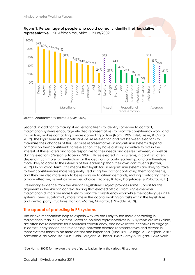



Second, in addition to making it easier for citizens to identify someone to contact, majoritarian systems encourage elected representatives to prioritize constituency work, and this, in turn, makes contacting a more appealing option (Norris, 1997; Pilet, Freire, & Costa, 2012). The logic here is that politicians desire re-election and act between elections to maximize their chances of this. Because representatives in majoritarian systems depend primarily on their constituents for re-election, they have a strong incentive to act in the interest of these voters and to be responsive to their needs and desires between, as well as during, elections (Persson & Tabellini, 2002). Those elected in PR systems, in contrast, often depend much more for re-election on the decisions of party leadership, and are therefore more likely to cater to the interests of this leadership than their own constituents (Raffler, 2012). <sup>6</sup> In practical terms, this means that legislators in majoritarian systems are likely to travel to their constituencies more frequently (reducing the cost of contacting them for citizens), and they are also more likely to be responsive to citizen demands, making contacting them a more effective, as well as an easier, choice (Gabriel, Bollow, Dageförde, & Rabuza, 2011).

Preliminary evidence from the African Legislatures Project provides some support for this argument in the African context, finding that elected officials from single-member majoritarian districts are more likely to prioritize constituency work while their colleagues in PR systems spend substantially more time in the capital working on tasks within the legislature and central party structures (Barkan, Mattes, Mozaffar, & Smiddy, 2010).

#### **The appeal of protesting in PR systems**

The above mechanisms help to explain why we are likely to see more contacting in majoritarian than in PR systems. Because political representatives in PR systems are less visible, are often not responsible for a territorial constituency, and have lower incentives to engage in constituency service, the relationship between elected representatives and citizens in these systems tends to be more distant and impersonal (Anduiza, Gallego, & Cantijoch, 2010; Ashworth & de Mesquita, 2006; Cain, Ferejohn, & Fiorina, 1987; Carey & Shugart, 1995; Norris,

*Source: Afrobarometer Round 4 (2008/2009)*

<sup>&</sup>lt;sup>6</sup> See Norris (2004) for more on the role of party leadership in the various PR subtypes.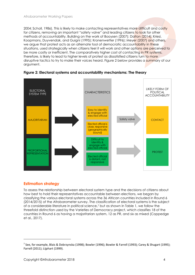2004; Scholl, 1986). This is likely to make contacting representatives more difficult and costly for citizens, removing an important "safety valve" and leading citizens to look for other methods of accountability. Building on the work of Booysen (2007); Dalton (2014); Kriesi, Koopmans, Duyvendak, and Guigni (1995); Kronenwetter (1996); Meyer (2007) and others, we argue that protest acts as an alternate tool of democratic accountability in these situations, used strategically when citizens feel it will work and other options are perceived to be more costly or inefficient. The comparatively higher cost of contacting in PR systems, therefore, is likely to lead to higher levels of protest as dissatisfied citizens turn to more disruptive tactics to try to make their voices heard. Figure 2 below provides a summary of our argument.



**Figure 2: Electoral systems and accountability mechanisms: The theory**

#### **Estimation strategy**

l

To assess the relationship between electoral system type and the decisions of citizens about how best to hold their representatives accountable between elections, we began by classifying the various electoral systems across the 36 African countries included in Round 6 (2014/2015) of the Afrobarometer survey. The classification of electoral systems is the subject of a considerable literature in political science, <sup>7</sup> but as shown in Table 1, we follow the threefold distinction used by the Varieties of Democracy project, which classifies 18 of the countries in Round 6 as having a majoritarian system, 12 as PR, and six as mixed (Coppedge et al., 2017).

<sup>&</sup>lt;sup>7</sup> See, for example, Blais & Dobrzynska (1998); Bowler (1996); Bowler & Farrell (1993); Carey & Shugart (1995); Farrell (2011); Lijphart (1999).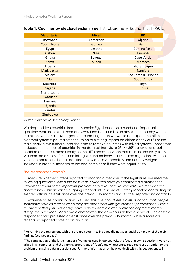| <b>Majoritarian</b> | <b>Mixed</b> | <b>PR</b>           |
|---------------------|--------------|---------------------|
| Botswana            | Cameroon     | Algeria             |
| Côte d'Ivoire       | Guinea       | <b>Benin</b>        |
| Egypt               | Lesotho      | <b>Burkina Faso</b> |
| Gabon               | <b>Niger</b> | <b>Burundi</b>      |
| Ghana               | Senegal      | Cape Verde          |
| Kenya               | Sudan        | Morocco             |
| Liberia             |              | Mozambique          |
| Madagascar          |              | Namibia             |
| Malawi              |              | São Tomé & Príncipe |
| Mali                |              | <b>South Africa</b> |
| Mauritius           |              | Togo                |
| <b>Nigeria</b>      |              | <b>Tunisia</b>      |
| Sierra Leone        |              |                     |
| Swaziland           |              |                     |
| Tanzania            |              |                     |
| Uganda              |              |                     |
| Zambia              |              |                     |
| Zimbabwe            |              |                     |

#### **Table 1: Countries by electoral system type** | Afrobarometer Round 6 (2014/2015)

*Source: Varieties of Democracy Project*

We dropped two countries from the sample: Egypt because a number of important questions were not asked there and Swaziland because it is an absolute monarchy where the extensive formal powers granted to the king mean we would not expect the official electoral system type (majoritarian) to have a strong impact on citizen behaviour.<sup>8</sup> For the main analysis, we further subset the data to remove countries with mixed systems. These steps reduced the number of countries in the data set from 36 to 28 (44,355 observations) but enabled us to focus more clearly on the differences between majoritarian and PR systems. We then ran a series of multinomial logistic and ordinary least squared regressions with the variables operationalized as detailed below and in Appendix A and country weights included in order to standardize national samples as if they were equal in size.

#### *The dependent variable*

l

To measure whether citizens reported contacting a member of the legislature, we used the following question: "*During the past year, how often have you contacted a member of Parliament about some important problem or to give them your views?*" We recoded the answers into a binary variable, giving respondents a score of 1 if they reported contacting an elected official at least once over the previous 12 months and 0 if they reported no contact.<sup>9</sup>

To examine protest participation, we used this question: "*Here is a list of actions that people sometimes take as citizens when they are dissatisfied with government performance. Please tell me whether you, personally, have participated in a demonstration or protest march during the past year.*" Again we dichotomized the answers such that a score of 1 indicates a respondent had protested at least once over the previous 12 months while a score of 0 reflects no reported protest participation.

<sup>8</sup> Re-running the regressions with the dropped countries included did not substantially alter any of the main findings (see Appendix D).

<sup>9</sup> The combination of the large number of variables used in our analysis, the fact that some questions were not asked in all countries, and the varying proportions of "don't know" responses required close attention to the problem of missing data in our data set. For more information on how we dealt with this, see Appendix B.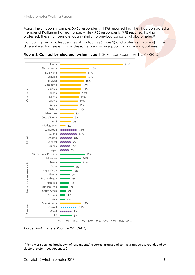Across the 34-country sample, 5,765 respondents (11%) reported that they had contacted a member of Parliament at least once, while 4,763 respondents (9%) reported having protested. These numbers are roughly similar to previous rounds of Afro<mark>barometer</mark>.<sup>10</sup>

Comparing the basic frequencies of contacting (Figure 3) and protesting (Figure 4) in the different electoral systems provides some preliminary support for our main hypothesis.



**Figure 3: Contact by electoral system type** | 34 African countries | 2014/2015

*Source: Afrobarometer Round 6 (2014/2015)*

<sup>&</sup>lt;sup>10</sup> For a more detailed breakdown of respondents' reported protest and contact rates across rounds and by electoral system, see Appendix C.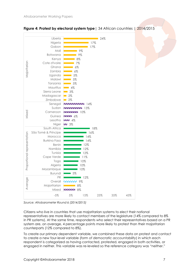



*Source: Afrobarometer Round 6 (2014/2015)*

Citizens who live in countries that use majoritarian systems to elect their national representatives are more likely to contact members of the legislature (14% compared to 8% in PR systems). At the same time, respondents who select their representatives based on a PR system are, on average, 4 percentage points more likely to protest than their majoritarian counterparts (12% compared to 8%).

To create our primary dependent variable, we combined these data on protest and contact to create a new four-level variable (*form of democratic accountability*) in which each respondent is categorized as having contacted, protested, engaged in both activities, or engaged in neither. This variable was re-leveled so the reference category was "neither."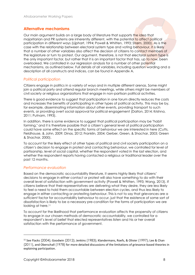#### **Alternative mechanisms**

Our main argument builds on a large body of literature that supports the idea that majoritarian and PR systems are inherently different, with the potential to affect political participation in different ways (Lijphart, 1994; Powell & Whitten, 1993; Strøm, 2000). As is the case with the relationship between electoral system type and voting behaviour, it is likely that a number of other variables also affect the decision of citizens to contact members of the legislature or turn to protest. Our argument, therefore, is not that electoral system type is the only important factor, but rather that it is an important factor that has, up to now, been overlooked. We controlled in our regression analysis for a number of other potential mechanisms, as outlined below. Full details of all variables, including question wording and a description of all constructs and indices, can be found in Appendix A.

#### *Political participation*

Citizens engage in politics in a variety of ways and in multiple different arenas. Some might join a political party and attend regular branch meetings, while others might be members of civil society or religious organizations that engage in non-partisan political activities.

There is good evidence to suggest that participation in one forum directly reduces the costs and increases the benefits of participating in other types of political activity. This may be by, for example, disseminating information about other events, providing transport to such events, or providing overt social approval for political engagement (Dalton, 2014; Krishna, 2011; Putnam, 1993).

In addition, there is some evidence to suggest that political participation may be "habit forming," and it is therefore possible that a citizen's general level of political participation could have some effect on the specific forms of behaviour we are interested in here (Cutts, Fieldhouse, & John, 2009; Dinas, 2012; Franklin, 2004; Gerber, Green, & Shachar, 2003; Green & Shachar, 2000).

To account for the likely effect of other types of political and civil society participation on a citizen's decision to engage in protest and contacting behaviour, we controlled for level of partisanship, level of social capital, whether the respondent voted in the last election, and whether the respondent reports having contacted a religious or traditional leader over the past 12 months.

#### *Performance evaluation*

Based on the democratic accountability literature, it seems highly likely that citizens' decisions to engage in either contact or protest will also have something to do with their overall level of satisfaction with government activity (Powell & Whitten, 1993; Wang, 2013). If citizens believe that their representatives are delivering what they desire, they are less likely to feel a need to hold them accountable between election cycles, and thus less likely to engage in either contacting or protesting behaviour. This is not to say that grievances are a *sufficient* factor for accountability behaviour to occur, just that the existence of some sort of dissatisfaction is likely to be a necessary pre-condition for the forms of participation we are looking at here.<sup>11</sup>

To account for the likelihood that performance evaluation affects the propensity of citizens to engage in our chosen methods of democratic accountability, we controlled for a respondent's level of belief that elected representatives listen and his or her overall satisfaction with the performance of government.

<sup>11</sup> See Flacks (2004); Goodwin (2012); Jenkins (1983); Klandermans, Roefs, & Olivier (1997); Lee & Chan (2011), and Oberschall (1978) for more detailed discussions of the limitations of grievance-based theories in explaining participation.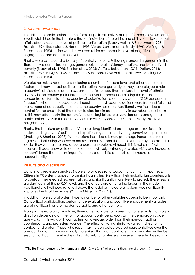#### *Cognitive awareness*

In addition to participation in other forms of political activity and performance evaluation, it is well established in the literature that an individual's interest in, and ability to follow, current affairs affects his or her level of political participation (Brady, Verba, & Schlozman, 1995; Franklin, 1996; Rosenstone & Hansen, 1993; Verba, Schlozman, & Brady, 1995; Wolfinger & Rosenstone, 1980). In line with this, we control for respondents' level of cognitive engagement and education level.

Finally, we also included a battery of control variables. Following standard arguments in the literature, we controlled for age, gender, urban-rural residency location, and level of lived poverty (Brady et al., 1995; Bratton et al., 2005; Coffe & Bolzendahl, 2011; Dalton, 2014; Franklin, 1996; Hillygus, 2005; Rosenstone & Hansen, 1993; Verba et al., 1995; Wolfinger & Rosenstone, 1980).

We also ran robustness checks including a number of macro-level and other contextual factors that may impact political participation more generally or may have played a role in a country's choice of electoral system in the first place. These include the level of ethnic diversity in the country (calculated from the Afrobarometer data using the Herfindahl concentration formula), <sup>12</sup> the country of colonization, a country's wealth (GDP per capita [logged]), whether the respondent thought the most recent elections were free and fair, and the number of consecutive elections the country has seen. Additionally we included a control for the proximity of the survey to elections in each country in our robustness checks, as this may affect both the responsiveness of legislators to citizen demands and general participation levels in the country (Ahuja, 1994; Booysen, 2011; Shapiro, Brady, Brody, & Ferejohn, 1990).

Finally, the literature on politics in Africa has long identified patronage as a key factor in understanding citizens' political participation in general, and voting behaviour in particular (Lindberg & Morrison, 2008). We therefore included a binary patronage index in our main regression, indicating whether or not respondents report that the last time they contacted a leader they went alone *and* about a personal problem. Although this is not a perfect measure, it does allow us to control for the most likely patronage-related visits, and increases our confidence that our findings reflect non-clientelistic attempts at democratic accountability.

#### **Results and discussion**

Our primary regression analysis (Table 2) provides strong support for our main hypothesis. Citizens in PR systems appear to be significantly less likely than their majoritarian counterparts to contact their elected representatives, and significantly more likely to protest. These results are significant at the p<0.01 level, and the effects are among the largest in the model. Additionally, a likelihood ratio test shows that adding in electoral system type significantly improves the fit of the model  $(X^2 = 491.03, p = 2.2e^{-16})$ .

In addition to electoral system type, a number of other variables appear to be important. Our political participation, performance evaluation, and cognitive engagement variables are all significant, as are the demographic and other controls.

Along with electoral system type, three other variables also seem to have effects that vary in direction depending on the form of accountability behaviour. On the demographic side, age works in this way, with contacters, on average, older than their non-contacting counterparts, and protesters younger. The effect of voting, similarly, varies in direction for contact and protest. Those who report having contacted elected representatives over the previous 12 months are marginally *more* likely than non-contacters to have voted in the last election, although the effect is not significant. For protesters, however, the effect is strongly

<sup>&</sup>lt;sup>12</sup> The Herfindahl concentration formula is:  $ELF = 1 - \sum_{i=1}^n s_i^2$  where  $s_i$  is the share of group  $i$   $(i = 1, ..., n)$ .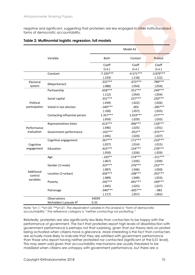negative and significant, suggesting that protesters are less engaged in other institutionalized forms of democratic accountability.

|               |                                  |             | Model A1    |             |
|---------------|----------------------------------|-------------|-------------|-------------|
|               | Variable                         | Both        | Contact     | Protest     |
|               |                                  | Coeff       | Coeff       | Coeff       |
|               |                                  | (s.e.)      | (s.e.)      | (s.e.)      |
|               | Constant                         | $-7.193***$ | $-4.571***$ | $-3.879***$ |
|               |                                  | (.233)      | (.118)      | (.122)      |
| Electoral     |                                  | $.325***$   | $-.672***$  | .789 ***    |
| system        | [Majoritarian]                   | (.088)      | (.054)      | (.054)      |
|               | Partisanship                     | $.658***$   | $.351***$   | .249 ***    |
|               |                                  | (.112)      | (.054)      | (.054)      |
|               | Social capital                   | $.331***$   | $.257***$   | $.250***$   |
| Political     |                                  | (.039)      | (.022)      | (.026)      |
| participation | Voted in last election           | $-.340***$  | .003        | $-.285***$  |
|               |                                  | (.100)      | (.057)      | (.055)      |
|               | Contacting influential person    | $1.357***$  | $1.019***$  | $.277***$   |
|               |                                  | (.059)      | (.029)      | (.033)      |
|               | Representatives listen           | $.613***$   | .496 ***    | $.118***$   |
| Performance   |                                  | (.046)      | (.025)      | (.031)      |
| evaluation    | Government performance           | $-.102***$  | $.052**$    | $-072***$   |
|               |                                  | (.045)      | (.024)      | (.027)      |
|               | Cognitive engagement             | $.267***$   | $.171***$   | $.210***$   |
| Cognitive     |                                  | (.027)      | (.014)      | (.015)      |
| engagement    | Education                        | $.423***$   | $.154***$   | $.278***$   |
|               |                                  | (.050)      | (.026)      | (.029)      |
|               | Age                              | $-0.143**$  | $.174***$   | $-.211***$  |
|               |                                  | (.067)      | (.035)      | (.039)      |
|               | Gender (1=male)                  | $.337***$   | $.276***$   | $.232***$   |
|               |                                  | (.087)      | (.046)      | (.050)      |
| Additional    | Location (1=urban)               | .456 ***    | $.108***$   | $.355***$   |
| control       |                                  | (.089)      | (.049)      | (.053)      |
| variables     | Poverty                          | $.245***$   | $.091***$   | $.169***$   |
|               |                                  | (.045)      | (.025)      | (.027)      |
|               | Patronage                        | $-0.940***$ | $-.605***$  | $-0.083$    |
|               |                                  | (.117)      | (.057)      | (.062)      |
|               | Observations                     | 34039       |             |             |
|               | McFadden's pseudo R <sup>2</sup> | 0.32        |             |             |

#### **Table 2: Multinomial logistic regression, full models**

*Note: \*p<.1; \*\*p<.05; \*\*\*p<.01. The dependent variable in this analysis is "*form of democratic accountability*." The reference category is "neither contacting nor protesting."*

Relatedly, protesters are also significantly less likely than contacters to be happy with the performance of government. The fact that protesters report high levels of dissatisfaction with government performance is perhaps not that surprising, given that our theory rests on protest being activated when citizens have a grievance. More interesting is the fact that contacters are actually more likely to indicate that they are satisfied with government performance than those who report having neither protested nor contacted (significant at the 0.01 level). This may seem odd given that accountability mechanisms are usually theorized to be mobilized when citizens are unhappy with government performance, but there are a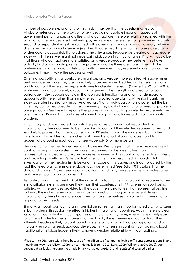number of possible explanations for this. First, it may be that the questions asked by Afrobarometer around the provision of services do not capture important aspects of government performance, and citizens who contact are therefore relatively satisfied with the provision of the services listed, but unhappy with some other element of government activity. Second, a respondent might be satisfied with government service provision overall, but very dissatisfied with a particular service (e.g. health care), leading him or her to exercise a form of democratic accountability to address the grievance. Because we created an aggregate index with 11 items, we might not necessarily pick up on this in our analysis. Finally, it could be that those who contact are more satisfied on average because they believe they have actually had a hand in shaping service provision and it is therefore more in line with their preferences. In other words, satisfaction with government may represent more than just the outcome; it may involve the process as well.

One final possibility is that contacters might be, on average, more satisfied with government performance because they are more likely to be heavily embedded in clientelist networks and to contact their elected representatives for clientelist reasons (Manzetti & Wilson, 2007). While we cannot completely discount this argument, the strength and direction of our patronage index supports our claim that contact is functioning as a form of democratic accountability here, rather than simply reflecting patronage claims. While significant, the index operates in a strongly negative direction. That is, individuals who indicate that the last time they contacted a leader in the community they did it alone and for a personal problem are significantly *less* likely to report either protesting or contacting an elected representative over the past 12 months than those who went in a group and/or regarding a community problem.

In summary, and as expected, our initial regression results show that respondents in majoritarian systems do seem to be more likely to contact their elected representatives, and less likely to protest, than their counterparts in PR systems. And this model is robust to the substitution of variables, to the inclusion of a number of additional variables, and to sequentially dropping each country (see Appendix D for more details).

The question of the mechanism remains, however. We suggest that citizens are more likely to contact in majoritarian systems because the connection between citizens and representatives is clearer, closer, and more responsive, making contact an effective strategy and providing an efficient "safety valve" when citizens are dissatisfied. Although a full investigation of the mechanism is beyond the scope of this paper, and is complicated by the fact that electoral systems are endogenously determined (see Boix, 1999), subsetting the data and running OLS regressions on majoritarian and PR systems separately provides some tentative support for our argument.<sup>13</sup>

As Table 3 shows, when we look at the case of contact, citizens who contact representatives in majoritarian systems are more likely than their counterparts in PR systems to report being satisfied with the services provided by the government and to feel that representatives listen to them. This makes sense in our theory, as our mechanism suggests representatives in majoritarian systems have more incentives to make themselves available to citizens and to respond to their needs.

Similarly, although contacting an influential person remains an important predictor for citizens in both systems, its substantive effect is higher in majoritarian countries. Again there is a clear logic to this, consistent with our hypothesis. In majoritarian systems, where it is relatively easy for citizens to identify the right person to speak with, the experience of contacting other influential leaders is likely to contribute to a general habit of political participation, and a mutually reinforcing feedback loop develops. In PR systems, in contrast, contacting a local traditional or religious leader is likely to have a weaker relationship with contacting a

<sup>&</sup>lt;sup>13</sup> We turn to OLS regressions here because of the difficulty of comparing logit coefficients across groups in any meaningful way (see Allison, 1999; Karlson, Holm, & Breen, 2012; Long, 2009; Williams, 2009, 2010). Our dependent variables here are the simple binary variables "*protest*" and "*contact*" discussed earlier.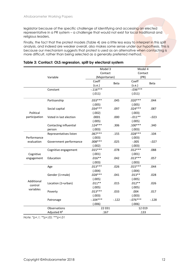legislator because of the specific challenge of identifying and accessing an elected representative in a PR system – a challenge that would not exist for local traditional and religious leaders.

Finally, the fact that the protest models (Table 4) are a little less easy to interpret in this split analysis, and indeed are weaker overall, also makes some sense under our hypothesis. This is because our mechanism suggests that protest is used as an alternative when contacting is more difficult, rather than being selected as a generally preferred method.

|               |                         | Model 3        |         | Model 4     |          |
|---------------|-------------------------|----------------|---------|-------------|----------|
|               |                         | Contact        |         | Contact     |          |
|               | Variable                | (Majoritarian) |         | (PR)        |          |
|               |                         | Coeff          | Beta    | Coeff       | Beta     |
|               |                         | (s.e.)         |         | (s.e.)      |          |
|               | Constant                | $-0.116***$    |         | $-0.036***$ |          |
|               |                         | (.011)         |         | (.011)      |          |
|               | Partisanship            | $.033***$      | .045    | $.020***$   | .044     |
|               |                         | (.005)         |         | (.005)      |          |
|               | Social capital          | $.034***$      | .097    | $.024***$   | .087     |
| Political     |                         | (.002)         |         | (.003)      |          |
| participation | Voted in last election  | .0001          | .000    | $-.011**$   | $-0.023$ |
|               |                         | (.005)         |         | (.005)      |          |
|               | Contacting influential  | $.124***$      | .306    | $.100***$   | .340     |
|               | person                  | (.003)         |         | (.003)      |          |
|               | Representatives listen  | $.067***$      | .155    | $.028***$   | .104     |
| Performance   |                         | (.003)         |         | (.003)      |          |
| evaluation    | Government performance  | $.008***$      | .025    | $-.005$     | $-.027$  |
|               |                         | (.002)         |         | (.003)      |          |
|               | Cognitive engagement    | $.015***$      | .078    | $.012***$   | .088     |
| Cognitive     |                         | (.001)         |         | (.001)      |          |
| engagement    | Education               | $.016**$       | .042    | $.013***$   | .057     |
|               |                         | (.003)         |         | (.003)      |          |
|               | Age                     | $.013***$      | .026    | $.015***$   | .044     |
|               |                         | (.004)         |         | (.004)      |          |
|               | Gender (1=male)         | $.028***$      | .041    | $.013**$    | .028     |
| Additional    |                         | (.005)         |         | (.005)      |          |
| control       | Location (1=urban)      | $.011**$       | .015    | $.012**$    | .026     |
| variables     |                         | (.005)         |         | (.005)      |          |
|               | Poverty                 | $.013***$      | .033    | .004        | .017     |
|               |                         | (.003)         |         | (.003)      |          |
|               | Patronage               | $-104***$      | $-.122$ | $-0.76***$  | $-.128$  |
|               |                         | (.006)         |         | (.006)      |          |
|               | Observations            | 22 031         |         | 12 0 19     |          |
|               | Adjusted R <sup>2</sup> | .167           |         | .133        |          |

#### **Table 3: Contact: OLS regression, split by electoral system**

*Note: \*p<.1; \*\*p<.05; \*\*\*p<.01*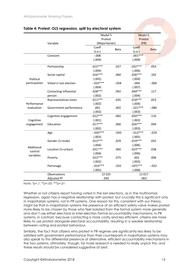|               |                         | Model 5        |          | Model 6     |             |
|---------------|-------------------------|----------------|----------|-------------|-------------|
|               |                         | Protest        | Protest  |             |             |
|               | Variable                | (Majoritarian) |          | (PR)        |             |
|               |                         | Coeff          | Beta     | Coeff       | <b>Beta</b> |
|               |                         | (s.e.)         |          | (s.e.)      |             |
|               | Constant                | $-0.008$       |          | $-.001***$  |             |
|               |                         | (.009)         |          | (.009)      |             |
|               | Partisanship            | $.015***$      | .027     | $.032***$   | .054        |
|               |                         | (.004)         |          | (.006)      |             |
|               | Social capital          | $.016***$      | .060     | $.036***$   | .102        |
| Political     |                         | (.002)         |          | (.004)      |             |
| participation | Voted in last election  | $-.033***$     | $-0.058$ | $-.004$     | $-0.006$    |
|               |                         | (.004)         |          | (.007)      |             |
|               | Contacting influential  | $.028***$      | .092     | $.044***$   | .117        |
|               | person                  | (.002)         |          | (.004)      |             |
|               | Representatives listen  | $.011***$      | .035     | $.018***$   | .053        |
| Performance   |                         | (.002)         |          | (.004)      |             |
| evaluation    | Government performance  | .001           | .002     | $-0.021***$ | $-080$      |
|               |                         | (.002)         |          | (.003)      |             |
|               | Cognitive engagement    | $.012***$      | .082     | $.020***$   | .110        |
| Cognitive     |                         | (.001)         |          | (.002)      |             |
| engagement    | Education               | $.017***$      | .066     | $.026***$   | .094        |
|               |                         | (.002)         |          | (.003)      |             |
|               | Age                     | $-.020***$     | $-.050$  | $-0.013***$ | $-0.029$    |
|               |                         | (.003)         |          | (.005)      |             |
|               | Gender (1=male)         | $.015***$      | .029     | $.019***$   | .032        |
|               |                         | (.004)         |          | (.006)      |             |
| Additional    | Location (1=urban)      | $.031***$      | .060     | $.023***$   | .038        |
| control       |                         | (.004)         |          | (.006)      |             |
| variables     | Poverty                 | $.022***$      | .075     | .002        | .006        |
|               |                         | (.002)         |          | (.003)      |             |
|               | Patronage               | $-0.014***$    | $-0.032$ | $-0.025***$ | $-0.032$    |
|               |                         | (.005)         |          | (.008)      |             |
|               | Observations            | 22 0 25        |          | 12 017      |             |
|               | Adjusted R <sup>2</sup> | .045           |          | .063        |             |

#### **Table 4: Protest: OLS regression, split by electoral system**

*Note: \*p<.1; \*\*p<.05; \*\*\*p<.01*

Whether or not citizens report having voted in the last elections, as in the multinomial regression, again has a negative relationship with protest, but crucially this is significant only in majoritarian systems, not in PR systems. One reason for this, consistent with our theory, might be that in majoritarian systems the presence of an efficient safety valve makes protest more likely to be chosen by those who feel isolated from the formal system more generally and don't use either electoral or inter-election formal accountability mechanisms. In PR systems, in contrast, because contacting is more costly and less efficient, citizens are more likely to use protest alongside electoral accountability, resulting in a weaker relationship between voting and protest behaviour.

Similarly, the fact that citizens who protest in PR regimes are significantly less likely to be satisfied with government performance than their counterparts in majoritarian systems may also speak to this differential presence of alternative, efficient accountability mechanisms in the two systems. Ultimately, though, far more research is needed to really unpick this, and these results should be considered suggestive at best.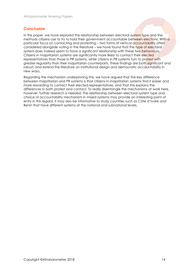#### **Conclusion**

In this paper, we have explored the relationship between electoral system type and the methods citizens use to try to hold their government accountable between elections. With a particular focus on contacting and protesting – two forms of vertical accountability often considered alongside voting in the literature – we have found that the type of electoral system does indeed seem to have a significant relationship with these two behaviours. Citizens in majoritarian systems are significantly more likely to contact their elected representatives than those in PR systems, while citizens in PR systems turn to protest with greater regularity than their majoritarian counterparts. These findings are both significant and robust, and extend the literature on institutional design and democratic accountability in new ways.

Regarding the mechanism underpinning this, we have argued that the key difference between majoritarian and PR systems is that citizens in majoritarian systems find it easier and more rewarding to contact their elected representatives, and that this explains the differences in both protest and contact. To really disentangle the mechanisms at work here, however, further research is needed. The relationship between electoral system type and choice of accountability mechanism in mixed systems may provide an interesting point of entry in this regard. It may also be informative to study countries such as Côte d'Ivoire and Benin that have different systems at the national and subnational levels.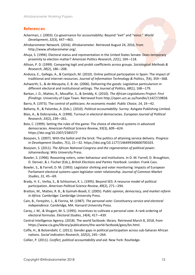#### **References**

- Ackerman, J. (2003). Co-governance for accountability: Beyond "exit" and "voice." *World Development*, *32*(3), 447-–463.
- Afrobarometer Network. (2016). Afrobarometer. Retrieved August 24, 2016, from http://www.afrobarometer.org/.
- Ahuja, S. (1994). Electoral status and representation in the United States Senate: Does temporary proximity to election matter? *American Politics Research*, *22*(1), 104-–118.
- Allison, P. D. (1999). Comparing logit and probit coefficients across groups. *Sociological Methods & Research*, *28*(2), 186-–208.
- Anduiza, E., Gallego, A., & Cantijoch, M. (2010). Online political participation in Spain: The impact of traditional and internet resources. *Journal of Information Technology & Politics*, *7*(4), 359-–368.
- Ashworth, S., & de Mesquita, E. B. de. (2006). Delivering the goods: Legislative particularism in different electoral and institutional settings. *The Journal of Politics*, *68*(1), 168-–179.
- Barkan, J. D., Mattes, R., Mozaffar, S., & Smiddy, K. (2010). *The African Legislatures Project: First fFindings*. University of Cape Town. Retrieved from http://open.uct.ac.za/handle/11427/19858.
- Barro, R. (1973). The control of politicians: An economic model. *Public Choice*, *14*, 19-–42.
- Bellamy, R., & Palumbo, A. (Eds.). (2010). *Political accountability*. Surrey: Ashgate Publishing Limited.
- Blais, A., & Dobrzynska, A. (1998). Turnout in electoral democracies. *European Journal of Political Research*, *33*(2), 239-–261.
- Boix, C. (1999). Setting the rules of the game: The choice of electoral systems in advanced democracies. *American Political Science Review*, *93*(3), 609-–624. https://doi.org/10.2307/2585577
- Booysen, S. (2007). With the ballot and the brick: The politics of attaining service delivery. *Progress in Development Studies*, *7*(1), 21-–32. https://doi.org/10.1177/146499340600700103.
- Booysen, S. (2011). *The African National Congress and the regeneration of political power*. Johannesburg: Wits University Press.
- Bowler, S. (1996). Reasoning voters, voter behaviour and institutions. In D. M. Farrell, D. Broughton, D. Denver, & J. Fischer (Eds.), *British Elections and Parties Yearbook*. London: Frank Cass.
- Bowler, S., & Farrell, D. M. (1993). Legislator shirking and voter monitoring: Impacts of European Parliament electoral systems upon legislator-voter relationship. *Journal of Common Market Studies*, *31*, 45-–69.
- Brady, H. E., Verba, S., & Schlozman, K. L. (1995). Beyond SES: A resource model of political participation. *American Political Science Review*, *89*(2), 271-–294.
- Bratton, M., Mattes, R. B., & Gyimah-Boadi, E. (2005). *Public opinion, democracy, and market reform in Africa*. Cambridge: Cambridge University Press.
- Cain, B., Ferejohn, J., & Fiorina, M. (1987). *The personal vote: Constituency service and electoral independence*. Cambridge, MA: Harvard University Press.
- Carey, J. M., & Shugart, M. S. (1995). Incentives to cultivate a personal vote: A rank ordering of electoral formulas. *Electoral Studies*, *14*(4), 417-–439.
- Central Intelligence Agency. (2018). The world factbook: library. Retrieved March 8, 2018, from https://www.cia.gov/library/publications/the-world-factbook/geos/bn.html.
- Coffe, H., & Bolzendahl, C. (2011). Gender gaps in political participation across sub-Saharan African nations. *Social Indicators Research*, *102*(2), 245-–264.
- Collier, P. (2011). *Conflict, political accountability and aid*. New York: Routledge.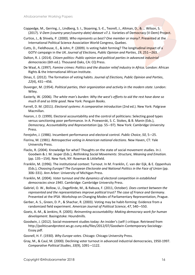- Coppedge, M., Gerring, J., Lindberg, S. I., Skaaning, S.-E., Teorell, J., Altman, D., & … Wilson, S. (2017). *V-Dem (country-year/country-date) dataset v7.1*. Varieties of Democracy (V-Dem) Project.
- Curtice, J., & Shively, P. (2000). *Who represents us best? One member or many?*. Presented at the International Political Science Association World Congress, Quebec.
- Cutts, D., Fieldhouse, E., & John, P. (2009). Is voting habit forming? The longitudinal impact of a GOTV campaign in the UK. *Journal of Elections, Public Opinion and Parties*, *19*, 251-–263.
- Dalton, R. J. (2014). *Citizen politics: Public opinion and political parties in advanced industrial democracies* (6th ed.). Thousand Oaks, CA: CQ Press.
- De Waal, A. (1997). *Famine crimes: Politics and the disaster relief industry in Africa*. London: African Rights & the International African Institute.
- Dinas, E. (2012). The formation of voting habits. *Journal of Elections, Public Opinion and Parties*, *22*(4), 431-–456.

Duverger, M. (1954). *Political parties, their organization and activity in the modern state*. London: Wiley.

- Easterly, W. (2006). *The white man's burden: Why the west's efforts to aid the rest have done so much ill and so little good*. New York: Penguin Books.
- Farrell, D. M. (2011). *Electoral systems: A comparative introduction* (2nd ed.). New York: Palgrave Macmillan.
- Fearon, J. D. (1999). Electoral accountability and the control of politicians: Selecting good types versus sanctioning poor performance. In A. Przeworski, S. C. Stokes, & B. Manin (Eds.), *Democracy, Accountability and Representation* (pp. 55-–97). New York: Cambridge University Press.

Ferejohn, J. (1986). Incumbent performance and electoral control. *Public Choice*, *50*, 5-–25.

- Fiorina, M. (1981). *Retrospective voting in American national elections*. New Haven, CT: Yale University Press.
- Flacks, R. (2004). Knowledge for what? Thoughts on the state of social movement studies. In J. Goodwin & J. M. Jasper (Eds.), *Rethinking Social Movements: Structure, Meaning and Emotion.* (pp. 135-–154). New York, NY: Rowman & Littlefield.
- Franklin, M. (1996). The institutional context: Turnout. In M. Franklin, C. van der Eijk, & E. Oppenhuis (Eds.), *Choosing Europe? The European Electorate and National Politics in the Face of Union* (pp. 306–331). Ann Arbor: University of Michigan Press.
- Franklin, M. (2004). *Voter turnout and the dynamics of electoral competition in established democracies since 1945*. Cambridge: Cambridge University Press.
- Gabriel, O. W., Bollow, U., Dageförde, M., & Rabuza, F. (2011, October). *Does contact between the represented and the representatives improve political trust? The case of France and Germany*. Presented at the IPSA -Workshop on Changing Modes of Parliamentary Representation, Prague.
- Gerber, A. S., Green, D. P., & Shachar, R. (2003). Voting may be habit-forming: Evidence from a randomized field experiment. *American Journal of Political Science*, *47*, 540-–550.
- Goetz, A.-M., & Jenkins, R. (2005). *Reinventing accountability: Making democracy work for human development*. Basingstoke: Houndmills.
- Goodwin, J. (2012). Social-movement studies today: An insider's (self-) critique. Retrieved from http://politicsandprotest.ws.gc.cuny.edu/files/2012/07/Goodwin-Contemporary-Sociology-Essay.pdf.
- Gosnell, H. F. (1930). *Why Europe votes*. Chicago: Chicago University Press.
- Gray, M., & Caul, M. (2000). Declining voter turnout in advanced industrial democracies, 1950-1997. *Comparative Political Studies*, *33*(9), 1091-–1122.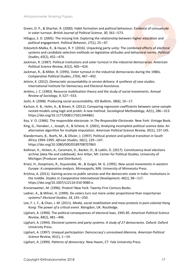- Green, D. P., & Shachar, R. (2000). Habit formation and political behaviour: Evidence of consuetude in voter turnout. *British Journal of Political Science*, *30*, 561-–573.
- Hillygus, S. D. (2005). The missing link: Exploring the relationship between higher education and political engagement. *Political Behavior*, *27*(1), 25-–47.
- Itzkovitch-Malka, R., & Hazan, R. Y. (2016). Unpacking party unity: The combined effects of electoral systems and candidate selection methods on legislative attitudes and behavioral norms. *Political Studies*, *65*(2), 452-–474.
- Jackman, R. (1987). Political institutions and voter turnout in the industrial democracies. *American Political Science Review*, *81*(2), 405-–424.
- Jackman, R., & Miller, R. (1995). Voter turnout in the industrial democracies during the 1980s. *Comparative Political Studies*, *27*(4), 467-–492.
- Jelmin, K. (2012). *Democratic accountability in service delivery: A synthesis of case studies*. International Institute for Democracy and Electoral Assistance.
- Jenkins, J. C. (1983). Resource mobilization theory and the study of social movements. *Annual Review of Sociology*, *9*, 527-–553.
- Joshi, A. (2008). Producing social accountability. *IDS Bulletin*, *38*(6), 10-–17.
- Karlson, K. B., Holm, A., & Breen, R. (2012). Comparing regression coefficients between same-sample nested models using logit and probit: A new method. *Sociological Methodology*, *42*(1), 286-–313. https://doi.org/10.1177/0081175012444861.
- Key, V. O. (1966). The responsible electorate. In *The Responsible Electorate*. New York: Vintage Book.
- King, G., Honaker, J., Joseph, A., & Scheve, K. (2001), Analyzing incomplete political science data: An alternative algorithm for multiple imputation. *American Political Science Review, 95*(1), 137-145.
- Klandermans, B., Roefs, M., & Olivier, J. (1997). Political protest and political transition in South Africa 1994–1995. *African Studies*, *56*(1), 129-–147. https://doi.org/10.1080/00020189708707863
- Kollman, K., Hicken, A., Caramani, D., Backer, D., & Lublin, D. (2017). Constituency-level elections archive [data file and codebook]. Ann Arbor, MI: Center for Political Studies, University of Michigan [Producer and Distributor].
- Kriesi, H., Koopmans, R., Duyvendak, W., & Guigni, M. G. (1995). *New social movements in western Europe: A comparative analysis*. Minneapolis, MN: University of Minnesota Press.
- Krishna, A. (2011). Gaining access to public services and the democratic state in India: Institutions in the middle. *Studies in Comparative International Development*, *46*(1), 98-–117. https://doi.org/10.1007/s12116-010-9080-x.
- Kronenwetter, M. (1996). *Protest!* New York: Twenty-First Century Books.
- Ladner, A., & Milner, H. (1999). Do voters turn out more under proportional than majoritarian systems? *Electoral Studies*, *18*, 235-–250.
- Lee, F. L. F., & Chan, J. M. (2011). *Media, social mobilisation and mass protests in post-colonial Hong Kong: The power of a critical event*. Abingdon, UK: Routledge.
- Lijphart, A. (1990). The political consequences of electoral laws, 1945-85. *American Political Science Review*, *84*(2), 481-–496.
- Lijphart, A. (1994). *Electoral systems and party systems: A study of 27 democracies*. Oxford: Oxford University Press.
- Lijphart, A. (1997). Unequal participation: Demcocracy's unresolved dilemma. *American Political Science Review*, *91*(1), 1-–14.
- Lijphart, A. (1999). *Patterns of democracy*. New Haven, CT: Yale University Press.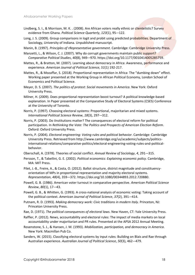- Lindberg, S. I., & Morrison, M. K. . (2008). Are African voters really ethnic or clientelistic? Survey evidence from Ghana. *Political Science Quarterly*, *123*(1), 95-–122.
- Long, J. S. (2009). Group comparisons in logit and probit using predicted probabilities. Department of Sociology, University of Indiana. Unpublished manuscript.
- Manin, B. (1997). *Principles of rRepresentative government*. Cambridge: Cambridge University Press.
- Manzetti, L., & Wilson, C. J. (2007). Why do corrupt governments maintain public support? *Comparative Political Studies*, *40*(8), 949-–970. https://doi.org/10.1177/0010414005285759.
- Mattes, R., & Bratton, M. (2007). Learning about democracy in Africa: Awareness, performance and experience. *American Journal of Political Science, 51*(1) 192-217.
- Mattes, R., & Mozaffar, S. (2018). Proportional representation in Africa: The "dumbing down" effect. Working paper presented at the Working Group in African Political Economy, London School of Economics and Political Science.
- Meyer, D. S. (2007). *The politics of protest: Social movements in America*. New York: Oxford University Press.
- Milner, H. (2009). Does proportional representation boost turnout? A political knowledge-based explanation. In Paper presented at the Comparative Study of Electoral Systems (CSES) Conference at the University of Toronto.
- Norris, P. (1997). Choosing electoral systems: Proportional, majoritarian and mixed systems. *International Political Science Review*, *18*(3), 297-–312.
- Norris, P. (2003). Do iInstitutions matter? The consequences of electoral reform for political participation. In *Rethinking the Vote: The Politics and Prospects of American Election Reform*. Oxford: Oxford University Press.
- Norris, P. (2004). *Electoral engineering: Voting rules and political behavior*. Cambridge: Cambridge University Press. Retrieved from http://www.cambridge.org/us/academic/subjects/politicsinternational-relations/comparative-politics/electoral-engineering-voting-rules-and-politicalbehavior.
- Oberschall, A. (1978). Theories of social conflict. *Annual Review of Sociology*, *4*, 291-–315.
- Persson, T., & Tabellini, G. E. (2002). *Political economics: Explaining economic policy*. Cambridge, MA: MIT Press.
- Pilet, J.-B., Freire, A., & Costa, O. (2012). Ballot structure, district magnitude and constituencyorientation of MPs in proportional representation and majority electoral systems. *Representation*, *48*(4), 359-–372. https://doi.org/10.1080/00344893.2012.720880.
- Powell, G. B. (1986). American voter turnout in comparative perspective. *American Political Science Review*, *80*(1), 17-–43.
- Powell, G. B., & Whitten, G. (1993). A cross-national analysis of economic voting: Taking account of the political context. *American Journal of Political Science*, *37*(2), 391-–414.
- Putnam, R. D. (1993). *Making democracy work: Civic traditions in modern Italy*. Princeton, NJ: Princeton University Press.
- Rae, D. (1971). *The political consequences of electoral laws*. New Haven, CT: Yale University Press.
- Raffler, P. (2012). News, accountability and electoral rules: The impact of media markets on local accountability under majoritarian and PR rules. Presented at the APSA 2012 Annual Meeting.
- Rosenstone, S. J., & Hansen, J. M. (1993). *Mobilization, participation, and democracy in America*. New York: Macmillan Pub Co.
- Sanders, W. (2015). Classifying electoral systems by input rules: Building on Blais and Rae through Australian experience. *Australian Journal of Political Science*, *50*(3), 462-–479.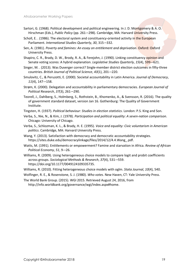- Sartori, G. (1968). Political development and political engineering. In J. D. Montgomery & A. O. Hirschman (Eds.), *Public Policy* (pp. 261-–298). Cambridge, MA: Harvard University Press.
- Scholl, E. . (1986). The electoral system and constituency-oriented activity in the European Parliament. *International Studies Quarterly*, *30*, 315-–332.
- Sen, A. (1981). *Poverty and famines: An essay on entitlement and deprivation*. Oxford: Oxford University Press.
- Shapiro, C. R., Brady, D. W., Brody, R. A., & Ferejohn, J. (1990). Linking constituency opinion and Senate voting scores: A hybrid explanation. *Legislative Studies Quarterly*, *15*(4), 599-–621.
- Singer, M. . (2013). Was Duverger correct? Single-member district election outcomes in fifty-three countries. *British Journal of Political Science*, *43*(1), 201-–220.
- Smulovitz, C., & Peruzotti, E. (2000). Societal accountability in Latin America. *Journal of Democracy*, *11*(4), 147-–158.
- Strøm, K. (2000). Delegation and accountability in parliamentary democracies. *European Journal of Political Research*, *37*(3), 261-–290.
- Teorell, J., Dahlberg, S., Holmberg, S., Rothstein, B., Khomenko, A., & Svensson, R. (2016). The quality of government standard dataset, version Jan 16. Gothenburg: The Quality of Government Institute.
- Tingsten, H. (1937). *Political behaviour: Studies in election statistics*. London: P.S. King and Son.
- Verba, S., Nie, N., & Kim, J. (1978). *Participation and political equality: A seven-nation comparison*. Chicago: University of Chicago.
- Verba, S., Schlozman, K. L., & Brady, H. E. (1995). *Voice and equality: Civic voluntarism in American politics*. Cambridge, MA: Harvard University Press.
- Wang, Y. (2013). Satisfaction with democracy and democratic accountability strategies. https://sites.duke.edu/democracylinkage/files/2014/12/4.4.Wang\_.pdf.
- Watts, M. (1991). Entitlements or empowerment? Famine and starvation in Africa. *Review of African Political Economy*, *51*, 9-–26.
- Williams, R. (2009). Using heterogeneous choice models to compare logit and probit coefficients across groups. *Sociological Methods & Research*, *37*(4), 531-–559. https://doi.org/10.1177/0049124109335735.
- Williams, R. (2010). Fitting heterogeneous choice models with oglm. *Stata Journal*, *10*(4), 540.
- Wolfinger, R. E., & Rosenstone, S. J. (1980). *Who votes*. New Haven, CT: Yale University Press.
- The World Bank Group. (2015). WGI 2015. Retrieved August 24, 2016, from http://info.worldbank.org/governance/wgi/index.aspx#home.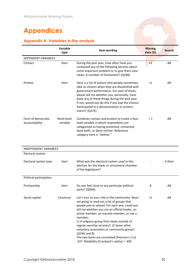### **Appendices**

#### **Appendix A: Variables in the analysis**

|                                      | <b>Variable</b><br>type | Item wording                                                                                                                                                                                                                                                                                                                                                                                                                                                                                                                   | <b>Missing</b><br>data (%) | <b>Source</b> |
|--------------------------------------|-------------------------|--------------------------------------------------------------------------------------------------------------------------------------------------------------------------------------------------------------------------------------------------------------------------------------------------------------------------------------------------------------------------------------------------------------------------------------------------------------------------------------------------------------------------------|----------------------------|---------------|
| DEPENDENT VARIABLES                  |                         |                                                                                                                                                                                                                                                                                                                                                                                                                                                                                                                                |                            |               |
| Contact                              | Item                    | During the past year, how often have you<br>contacted any of the following persons about<br>some important problem or to give them your<br>views: A member of Parliament? (Q24B)                                                                                                                                                                                                                                                                                                                                               | $\leq$ 1                   | AB            |
| Protest                              | Item                    | Here is a list of actions that people sometimes<br>take as citizens when they are dissatisfied with<br>government performance. For each of these,<br>please tell me whether you, personally, have<br>done any of these things during the past year.<br>If not, would you do this if you had the chance:<br>Participated in a demonstration or protest<br>march? (Q27E)                                                                                                                                                         | $<$ 1                      | AB            |
| Form of democratic<br>accountability | Multi-level<br>variable | Combines contact and protest to create a four-<br>level variable in which respondents are<br>categorized as having protested, contacted,<br>done both, or done neither. Reference<br>category here is "neither."                                                                                                                                                                                                                                                                                                               | $\leq 1$                   | AB            |
| <b>INDEPENDENT VARIABLES</b>         |                         |                                                                                                                                                                                                                                                                                                                                                                                                                                                                                                                                |                            |               |
| Electoral system                     |                         |                                                                                                                                                                                                                                                                                                                                                                                                                                                                                                                                |                            |               |
| Electoral system type                | Item                    | What was the electoral system used in this<br>election for the lower or unicameral chamber<br>of the legislature?                                                                                                                                                                                                                                                                                                                                                                                                              |                            | V-Dem         |
| Political participation              |                         |                                                                                                                                                                                                                                                                                                                                                                                                                                                                                                                                |                            |               |
| Partisanship                         | Item                    | Do you feel close to any particular political<br>party? (Q90A)                                                                                                                                                                                                                                                                                                                                                                                                                                                                 | 8                          | AB            |
| Social capital                       | Construct               | Let's turn to your role in the community. Now I<br>am going to read out a list of groups that<br>people join or attend. For each one, could you<br>tell me whether you are an official leader, an<br>active member, an inactive member, or not a<br>member:<br>1) A religious group that meets outside of<br>regular worship services?; 2) Some other<br>voluntary association or community group?<br>$(Q19A \text{ and } B)$<br>The two items are correlated (Pearson's r) at<br>.327. Reliability (Cronbach's alpha) = .493. | $<$ 1                      | AB            |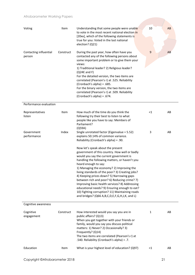#### Afrobarometer Working Papers

| Voting                           | Item      | Understanding that some people were unable<br>to vote in the most recent national election in<br>[20xx], which of the following statements is<br>true for you: Voted in the last national<br>election? (Q21)                                                                                                                                                                                                                                                                                                                                                                                                        | 10           | AB |
|----------------------------------|-----------|---------------------------------------------------------------------------------------------------------------------------------------------------------------------------------------------------------------------------------------------------------------------------------------------------------------------------------------------------------------------------------------------------------------------------------------------------------------------------------------------------------------------------------------------------------------------------------------------------------------------|--------------|----|
| Contacting influential<br>person | Construct | During the past year, how often have you<br>contacted any of the following persons about<br>some important problem or to give them your<br>views:<br>1) Traditional leader? 2) Religious leader?<br>$(Q24E$ and F)<br>For the detailed version, the two items are<br>correlated (Pearson's r) at .525. Reliability<br>(Cronbach's alpha) = .685.<br>For the binary version, the two items are<br>correlated (Pearson's r) at .509. Reliability<br>(Cronbach's alpha) = .674.                                                                                                                                        | $\mathbf{9}$ | AB |
| Performance evaluation           |           |                                                                                                                                                                                                                                                                                                                                                                                                                                                                                                                                                                                                                     |              |    |
| Representatives<br>listen        | Item      | How much of the time do you think the<br>following try their best to listen to what<br>people like you have to say: Members of<br>Parliament?<br>(Q59A)                                                                                                                                                                                                                                                                                                                                                                                                                                                             | $<$ 1        | AB |
| Government<br>performance        | Index     | Single unrotated factor (Eigenvalue = 5.52)<br>explains 50.14% of common variance.<br>Reliability (Cronbach's alpha) = .90.                                                                                                                                                                                                                                                                                                                                                                                                                                                                                         | 3            | AB |
|                                  |           | Now let's speak about the present<br>government of this country. How well or badly<br>would you say the current government is<br>handling the following matters, or haven't you<br>heard enough to say:<br>1) Managing the economy? 2) Improving the<br>living standards of the poor? 3) Creating jobs?<br>4) Keeping prices down? 5) Narrowing gaps<br>between rich and poor? 6) Reducing crime? 7)<br>Improving basic health services? 8) Addressing<br>educational needs? 9) Ensuring enough to eat?<br>10) Fighting corruption? 11) Maintaining roads<br>and bridges? (Q66 A, B, C, D, E, F, G, H, J, K, and L) |              |    |
| Cognitive awareness              |           |                                                                                                                                                                                                                                                                                                                                                                                                                                                                                                                                                                                                                     |              |    |
| Cognitive<br>engagement          | Construct | How interested would you say you are in<br>public affairs? (Q13)<br>When you get together with your friends or<br>family, would you say you discuss political<br>matters: 1) Never? 2) Occasionally? 3)<br>Frequently? (Q14)<br>The two items are correlated (Pearson's r) at<br>.540. Reliability (Cronbach's alpha) = .7.                                                                                                                                                                                                                                                                                         | $\mathbf{1}$ | AB |
| Education                        | Item      | What is your highest level of education? (Q97)                                                                                                                                                                                                                                                                                                                                                                                                                                                                                                                                                                      | $<$ 1        | AB |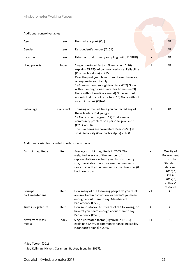| Additional control variables                       |           |                                                                                                                                                                                                                                                                                                                                                                                                                                       |              |                                                               |
|----------------------------------------------------|-----------|---------------------------------------------------------------------------------------------------------------------------------------------------------------------------------------------------------------------------------------------------------------------------------------------------------------------------------------------------------------------------------------------------------------------------------------|--------------|---------------------------------------------------------------|
| Age                                                | Item      | How old are you? (Q1)                                                                                                                                                                                                                                                                                                                                                                                                                 | $\leq$ 1     | AB                                                            |
| Gender                                             | Item      | Respondent's gender (Q101)                                                                                                                                                                                                                                                                                                                                                                                                            |              | AB                                                            |
| Location                                           | Item      | Urban or rural primary sampling unit (URBRUR)                                                                                                                                                                                                                                                                                                                                                                                         |              | AB                                                            |
| Lived poverty                                      | Index     | Single unrotated factor (Eigenvalue = 2.76)<br>explains 55.27% of common variance. Reliability<br>(Cronbach's alpha) = .795.<br>Over the past year, how often, if ever, have you<br>or anyone in your family:<br>1) Gone without enough food to eat? 2) Gone<br>without enough clean water for home use? 3)<br>Gone without medical care? 4) Gone without<br>enough fuel to cook your food? 5) Gone without<br>a cash income? (Q8A-E) | $\mathbf{1}$ | AB                                                            |
| Patronage                                          | Construct | Thinking of the last time you contacted any of<br>these leaders. Did you go:<br>1) Alone or with a group? 2) To discuss a<br>community problem or a personal problem?<br>(Q25A and B).<br>The two items are correlated (Pearson's r) at<br>.754. Reliability (Cronbach's alpha) = .860.                                                                                                                                               | 1            | AB                                                            |
| Additional variables Included in robustness checks |           |                                                                                                                                                                                                                                                                                                                                                                                                                                       |              |                                                               |
| District magnitude                                 | Item      | Average district magnitude in 2005. The<br>weighted average of the number of<br>representatives elected by each constituency<br>size, if available. If not, we use the number of<br>seats divided by the number of constituencies (if                                                                                                                                                                                                 |              | Quality of<br>Government<br>Institute<br>Standard<br>data set |

|                             |       |                                                                                                                                                                 |        | $(2017)^{15}$ ;<br>authors'<br>research |
|-----------------------------|-------|-----------------------------------------------------------------------------------------------------------------------------------------------------------------|--------|-----------------------------------------|
| Corrupt<br>parliamentarians | Item  | How many of the following people do you think<br>are involved in corruption, or haven't you heard<br>enough about them to say: Members of<br>Parliament? (Q53B) | ${<}1$ | AB                                      |
| Trust in legislature        | Item  | How much do you trust each of the following, or<br>haven't you heard enough about them to say:<br>Parliament? (Q52B)                                            | 4      | AB                                      |
| News from mass<br>media     | Index | Single unrotated factor (Eigenvalue = 1.66)<br>explains 55.48% of common variance. Reliability<br>(Cronbach's alpha) = .586.                                    | $<$ 1  | AB                                      |

both are known).

<sup>14</sup> See Teorell (2016).

l

÷.

 $(2016)^{14}$ ; CLEA

<sup>15</sup> See Kollman, Hicken, Caramani, Backer, & Lublin (2017).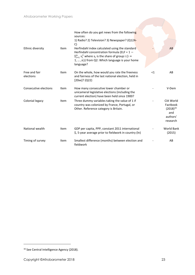|                            |      | How often do you get news from the following<br>sources:                                                                                            |    |                                                                       |
|----------------------------|------|-----------------------------------------------------------------------------------------------------------------------------------------------------|----|-----------------------------------------------------------------------|
|                            |      | 1) Radio? 2) Television? 3) Newspaper? (Q12A-<br>C)                                                                                                 |    |                                                                       |
| Ethnic diversity           | Item | Herfindahl index calculated using the standard<br>Herfindahl concentration formula (ELF = $1 -$                                                     |    | AB                                                                    |
|                            |      | $\Sigma_{i=1}^{n}$ s <sup>2</sup> where s <sub>i</sub> is the share of group i (i =<br>$1, , n$ ) from Q2: Which language is your home<br>language? |    |                                                                       |
| Free and fair<br>elections | Item | On the whole, how would you rate the freeness<br>and fairness of the last national election, held in<br>[20xx]? (Q22)                               | <1 | AB                                                                    |
| Consecutive elections      | Item | How many consecutive lower chamber or<br>unicameral legislative elections (including the<br>current election) have been held since 1900?            |    | V-Dem                                                                 |
| Colonial legacy            | Item | Three dummy variables taking the value of 1 if<br>country was colonized by France, Portugal, or<br>Other. Reference category is Britain.            |    | CIA World<br>Factbook<br>$(2018)^{16}$<br>and<br>authors'<br>research |
| National wealth            | Item | GDP per capita, PPP, constant 2011 international<br>\$, 5-year average prior to fieldwork in country (ln)                                           |    | <b>World Bank</b><br>(2015)                                           |
| Timing of survey           | Item | Smallest difference (months) between election and<br>fieldwork                                                                                      |    | AB                                                                    |

<sup>16</sup> See Central Intelligence Agency (2018).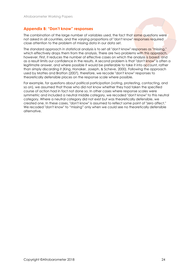#### **Appendix B: "Don't know" responses**

The combination of the large number of variables used, the fact that some questions were not asked in all countries, and the varying proportions of "don't know" responses required close attention to the problem of missing data in our data set.

The standard approach in statistical analysis is to set all "don't know" responses as "missing," which effectively drops them from the analysis. There are two problems with this approach, however. First, it reduces the number of effective cases on which the analysis is based, and as a result limits our confidence in the results. A second problem is that "don't know" is often a legitimate answer, and where possible it would be preferable to take it into account, rather than simply discarding it (King, Honaker, Joseph, & Scheve, 2000). Following the approach used by Mattes and Bratton (2007), therefore, we recode "don't know" responses to theoretically defensible places on the response scale where possible.

For example, for questions about political participation (voting, protesting, contacting, and so on), we assumed that those who did not know whether they had taken the specified course of action had in fact not done so. In other cases where response scales were symmetric and included a neutral middle category, we recoded "don't know" to this neutral category. Where a neutral category did not exist but was theoretically defensible, we created one. In these cases, "don't know" is assumed to reflect some point of "zero affect." We recoded "don't know" to "missing" only when we could see no theoretically defensible alternative.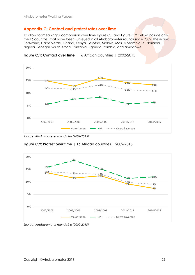#### **Appendix C: Contact and protest rates over time**

To allow for meaningful comparison over time Figure C.1 and Figure C.2 below include only the 16 countries that have been surveyed in all Afrobarometer rounds since 2002. These are: Botswana, Cape Verde, Ghana, Kenya, Lesotho, Malawi, Mali, Mozambique, Namibia, Nigeria, Senegal, South Africa, Tanzania, Uganda, Zambia, and Zimbabwe.



**Figure C.1: Contact over time** | 16 African countries | 2002-2015

**Figure C.2: Protest over time** | 16 African countries | 2002-2015



*Source: Afrobarometer rounds 2-6 (2002-2015)*

*Source: Afrobarometer rounds 2-6 (2002-2015)*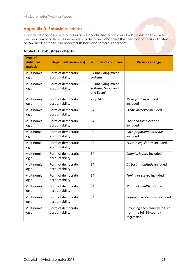#### **Appendix D: Robustness checks**

To increase confidence in our results, we conducted a number of robustness checks. We used our 14-variable baseline model (Table 2) and changed the specifications as indicated below. In all of these, our main results hold and remain significant.

|  | <b>Table D.1: Robustness checks</b> |  |
|--|-------------------------------------|--|
|  |                                     |  |

| <b>Type of</b><br>statistical<br>analysis | <b>Dependent variable(s)</b>         | <b>Number of countries</b>                               | <b>Variable change</b>                                                  |
|-------------------------------------------|--------------------------------------|----------------------------------------------------------|-------------------------------------------------------------------------|
| Multinomial<br>logit                      | Form of democratic<br>accountability | 34 (including mixed<br>systems)                          | $\overline{a}$                                                          |
| Multinomial<br>logit                      | Form of democratic<br>accountability | 36 (including mixed<br>systems, Swaziland,<br>and Egypt) | $\overline{\phantom{a}}$                                                |
| Multinomial<br>logit                      | Form of democratic<br>accountability | 28/34                                                    | News from mass media<br>included                                        |
| Multinomial<br>logit                      | Form of democratic<br>accountability | 34                                                       | Ethnic diversity included                                               |
| Multinomial<br>logit                      | Form of democratic<br>accountability | 34                                                       | Free and fair elections<br>included                                     |
| Multinomial<br>logit                      | Form of democratic<br>accountability | 34                                                       | Corrupt parliamentarians<br>included                                    |
| Multinomial<br>logit                      | Form of democratic<br>accountability | 34                                                       | Trust in legislature included                                           |
| Multinomial<br>logit                      | Form of democratic<br>accountability | 34                                                       | Colonial legacy included                                                |
| Multinomial<br>logit                      | Form of democratic<br>accountability | 34                                                       | District magnitude included                                             |
| Multinomial<br>logit                      | Form of democratic<br>accountability | 34                                                       | Timing of survey included                                               |
| Multinomial<br>logit                      | Form of democratic<br>accountability | 34                                                       | National wealth included                                                |
| Multinomial<br>logit                      | Form of democratic<br>accountability | 34                                                       | Consecutive elections included                                          |
| Multinomial<br>logit                      | Form of democratic<br>accountability | 35                                                       | Dropping each country in turn<br>from the full 36-country<br>regression |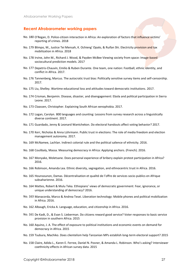#### **Recent Afrobarometer working papers**

- No. 180 O'Regan, D. Police-citizen interaction in Africa: An exploration of factors that influence victims' reporting of crimes. 2018
- No. 179 Blimpo, M., Justice Tei Mensah, K. Ochieng' Opalo, & Ruifan Shi. Electricity provision and tax mobilization in Africa. 2018
- No. 178 Irvine, John M., Richard J. Wood, & Payden McBee Viewing society from space: Image-based sociocultural prediction models. 2017
- No. 177 Depetris-Chauvin, Emilio & Ruben Durante. One team, one nation: Football, ethnic identity, and conflict in Africa. 2017.
- No. 176 Tannenberg, Marcus. The autocratic trust bias: Politically sensitive survey items and self-censorship. 2017.
- No. 175 Liu, Shelley. Wartime educational loss and attitudes toward democratic institutions. 2017.
- No. 174 Crisman, Benjamin. Disease, disaster, and disengagement: Ebola and political participation in Sierra Leone. 2017.
- No. 173 Claassen, Christopher. Explaining South African xenophobia. 2017.
- No. 172 Logan, Carolyn. 800 languages and counting: Lessons from survey research across a linguistically diverse continent. 2017.
- No. 171 Guardado, Jenny & Leonard Wantchekon. Do electoral handouts affect voting behavior? 2017.
- No. 170 Kerr, Nicholas & Anna Lührmann. Public trust in elections: The role of media freedom and election management autonomy. 2017.
- No. 169 McNamee, Lachlan. Indirect colonial rule and the political salience of ethnicity. 2016.
- No. 168 Coulibaly, Massa. Measuring democracy in Africa: Applying anchors. (French). 2016.
- No. 167 Monyake, Moletsane. Does personal experience of bribery explain protest participation in Africa? 2016.
- No. 166 Robinson, Amanda Lea. Ethnic diversity, segregation, and ethnocentric trust in Africa. 2016.
- No. 165 Hounsounon, Damas. Décentralisation et qualité de l'offre de services socio-publics en Afrique subsaharienne. 2016.
- No. 164 Mattes, Robert & Mulu Teka. Ethiopians' views of democratic government: Fear, ignorance, or unique understanding of democracy? 2016.
- No. 163 Manacorda, Marco & Andrea Tesei. Liberation technology: Mobile phones and political mobilization in Africa. 2016.
- No. 162 Albaugh, Ericka A. Language, education, and citizenship in Africa. 2016.
- No. 161 De Kadt, D., & Evan S. Lieberman. Do citizens reward good service? Voter responses to basic service provision in southern Africa. 2015
- No. 160 Aquino, J. A. The effect of exposure to political institutions and economic events on demand for democracy in Africa. 2015
- No. 159 Tsubura, Machiko. Does clientelism help Tanzanian MPs establish long-term electoral support? 2015
- No. 158 Claire, Adida L., Karen E. Ferree, Daniel N. Posner, & Amanda L. Robinson. Who's asking? Interviewer coethnicity effects in African survey data. 2015